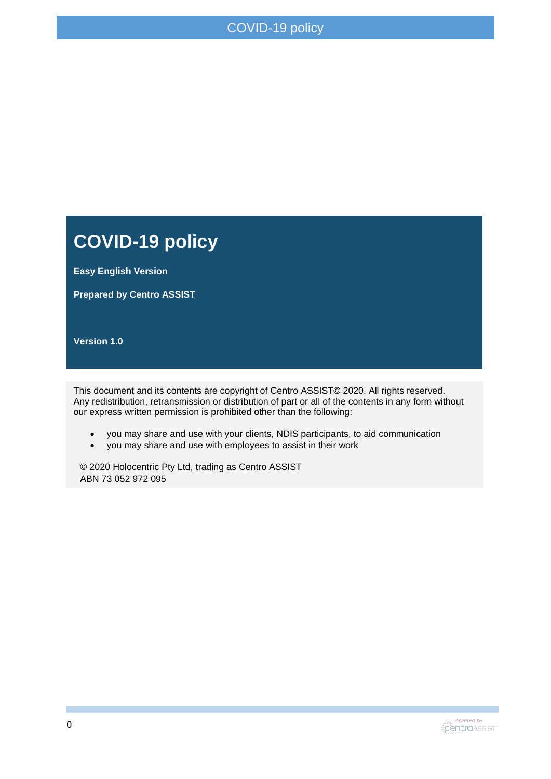#### **COVID-19 policy**

**Easy English Version**

**Prepared by Centro ASSIST**

**Version 1.0**

This document and its contents are copyright of Centro ASSIST© 2020. All rights reserved. Any redistribution, retransmission or distribution of part or all of the contents in any form without our express written permission is prohibited other than the following:

- you may share and use with your clients, NDIS participants, to aid communication
- you may share and use with employees to assist in their work

© 2020 Holocentric Pty Ltd, trading as Centro ASSIST ABN 73 052 972 095

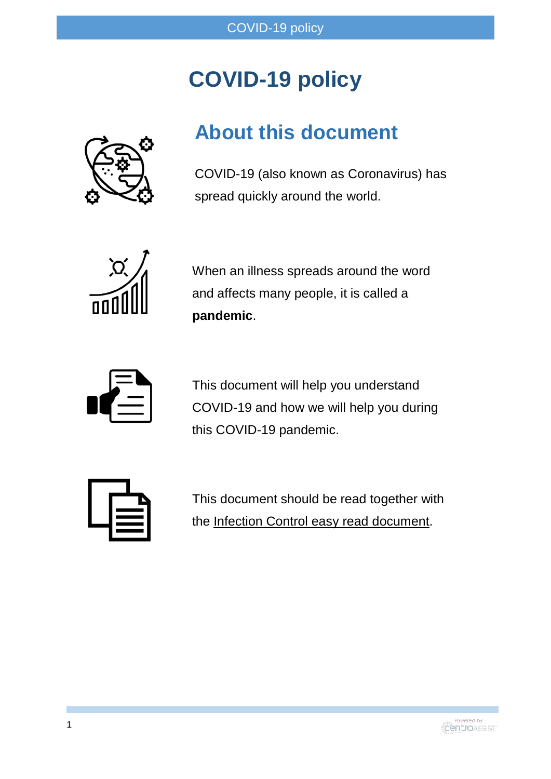## **COVID-19 policy**



#### **About this document**

COVID-19 (also known as Coronavirus) has spread quickly around the world.



When an illness spreads around the word and affects many people, it is called a **pandemic**.



This document will help you understand COVID-19 and how we will help you during this COVID-19 pandemic.



This document should be read together with the Infection Control easy read document.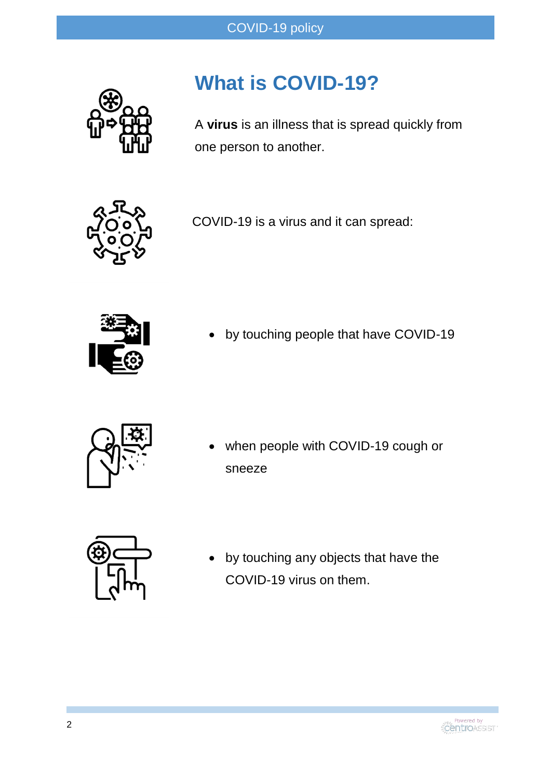

### **What is COVID-19?**

A **virus** is an illness that is spread quickly from one person to another.

COVID-19 is a virus and it can spread:



by touching people that have COVID-19



 when people with COVID-19 cough or sneeze



 by touching any objects that have the COVID-19 virus on them.

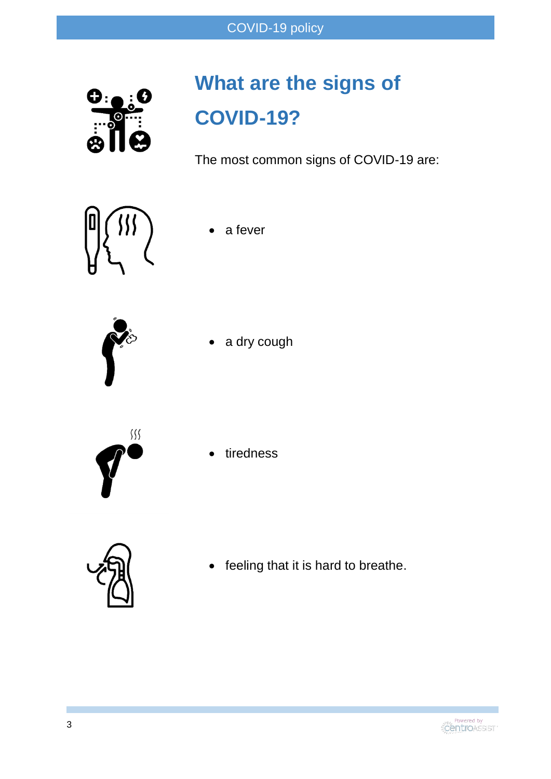

# **What are the signs of COVID-19?**

The most common signs of COVID-19 are:



a fever



a dry cough



tiredness



• feeling that it is hard to breathe.

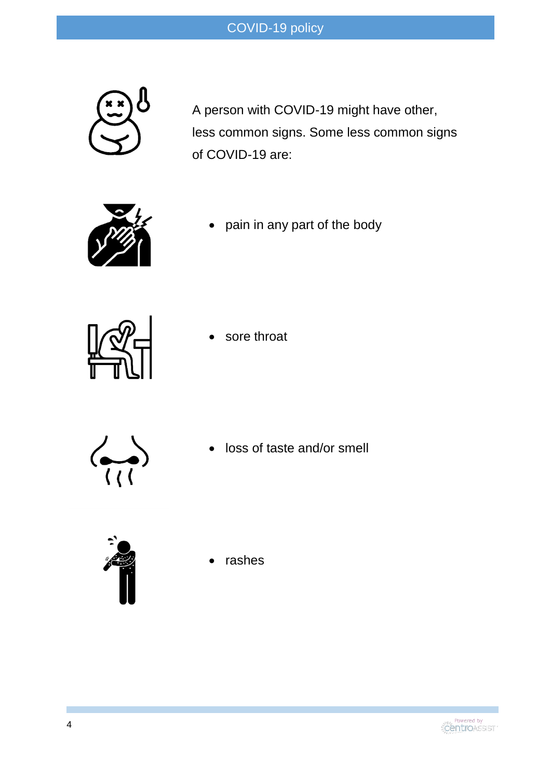

A person with COVID-19 might have other, less common signs. Some less common signs of COVID-19 are:



pain in any part of the body



sore throat



loss of taste and/or smell



rashes

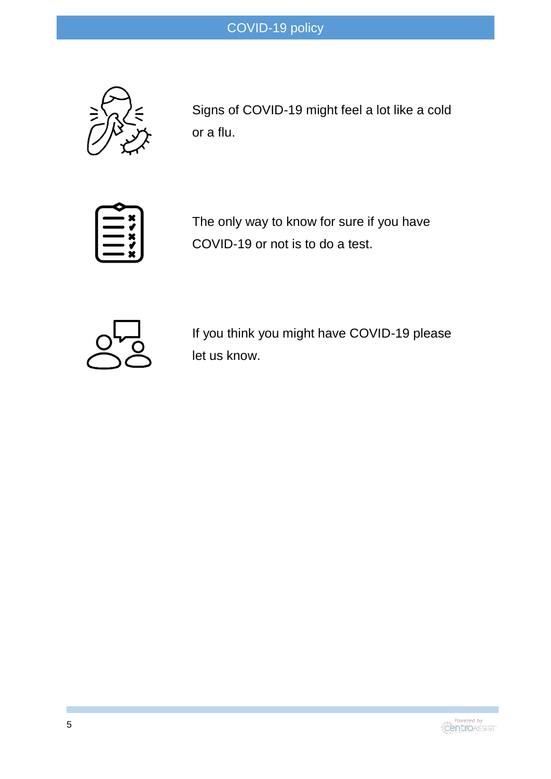

Signs of COVID-19 might feel a lot like a cold or a flu.



The only way to know for sure if you have COVID-19 or not is to do a test.



If you think you might have COVID-19 please let us know.

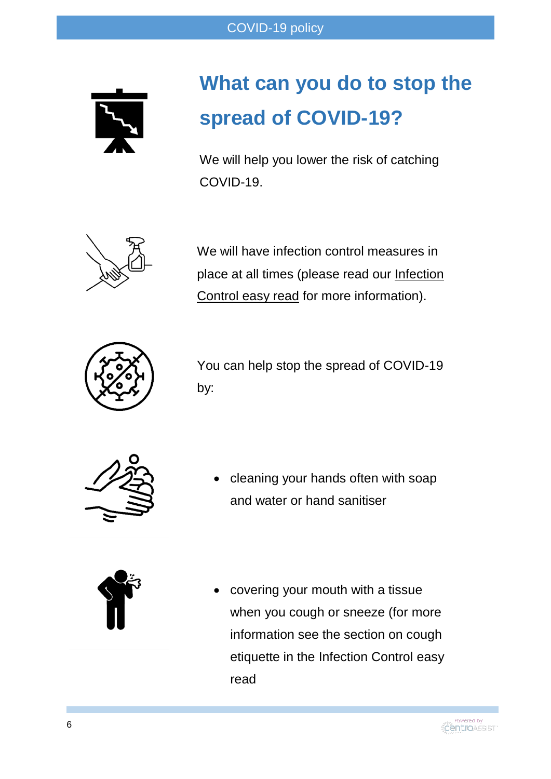

## **What can you do to stop the spread of COVID-19?**

We will help you lower the risk of catching COVID-19.



We will have infection control measures in place at all times (please read our Infection Control easy read for more information).



You can help stop the spread of COVID-19 by:



 cleaning your hands often with soap and water or hand sanitiser



 covering your mouth with a tissue when you cough or sneeze (for more information see the section on cough etiquette in the Infection Control easy read

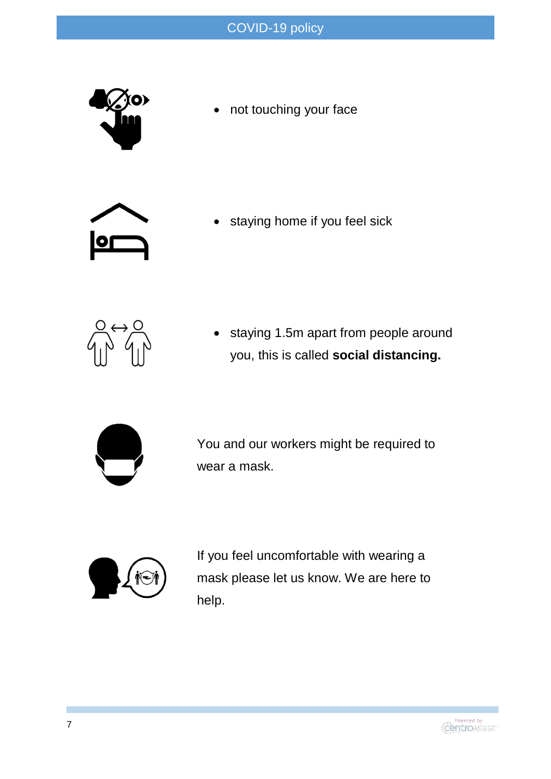

• not touching your face



staying home if you feel sick



 staying 1.5m apart from people around you, this is called **social distancing.** 



You and our workers might be required to wear a mask.



If you feel uncomfortable with wearing a mask please let us know. We are here to help.

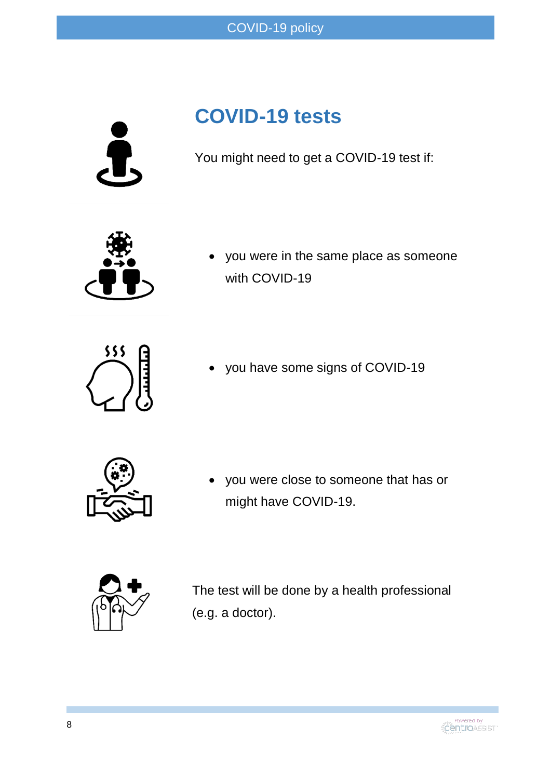

### **COVID-19 tests**

You might need to get a COVID-19 test if:



 you were in the same place as someone with COVID-19



you have some signs of COVID-19



 you were close to someone that has or might have COVID-19.



The test will be done by a health professional (e.g. a doctor).

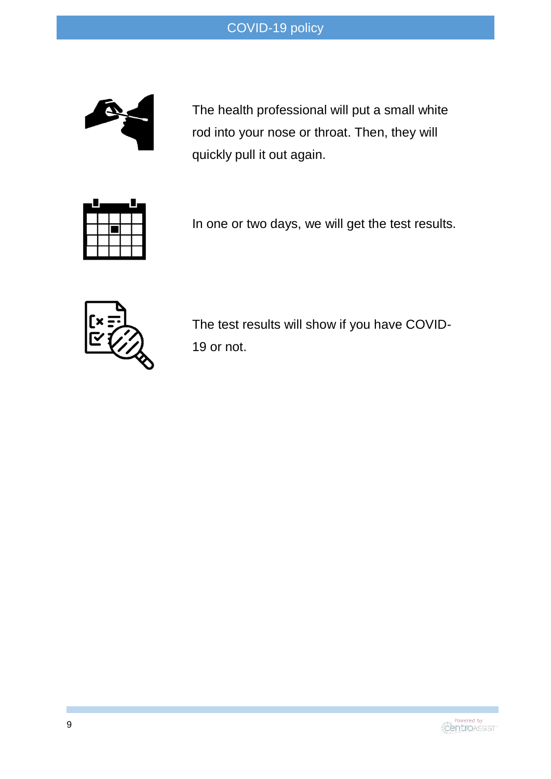

The health professional will put a small white rod into your nose or throat. Then, they will quickly pull it out again.



In one or two days, we will get the test results.



The test results will show if you have COVID-19 or not.

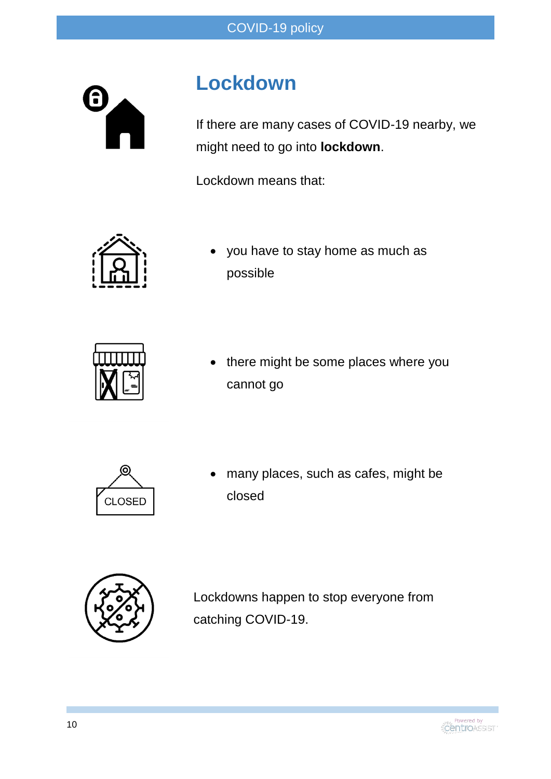

### **Lockdown**

If there are many cases of COVID-19 nearby, we might need to go into **lockdown**.

Lockdown means that:



 you have to stay home as much as possible



 there might be some places where you cannot go



 many places, such as cafes, might be closed



Lockdowns happen to stop everyone from catching COVID-19.

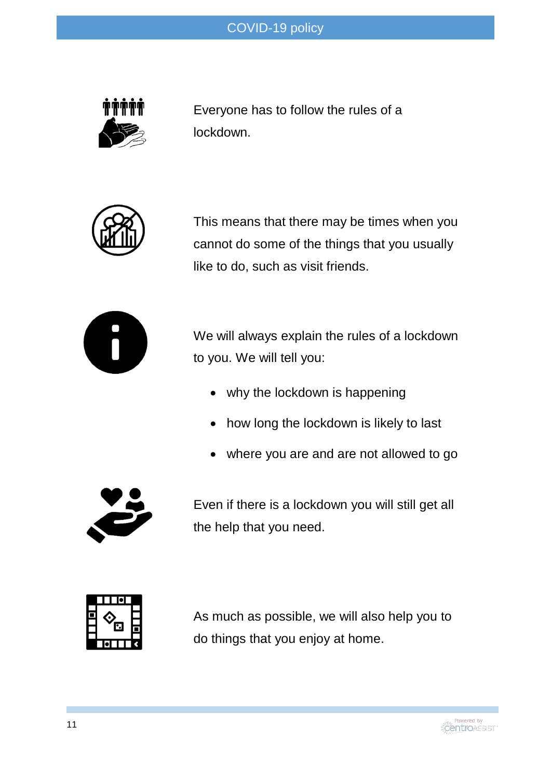

Everyone has to follow the rules of a lockdown.



This means that there may be times when you cannot do some of the things that you usually like to do, such as visit friends.



We will always explain the rules of a lockdown to you. We will tell you:

- why the lockdown is happening
- how long the lockdown is likely to last
- where you are and are not allowed to go



Even if there is a lockdown you will still get all the help that you need.



As much as possible, we will also help you to do things that you enjoy at home.

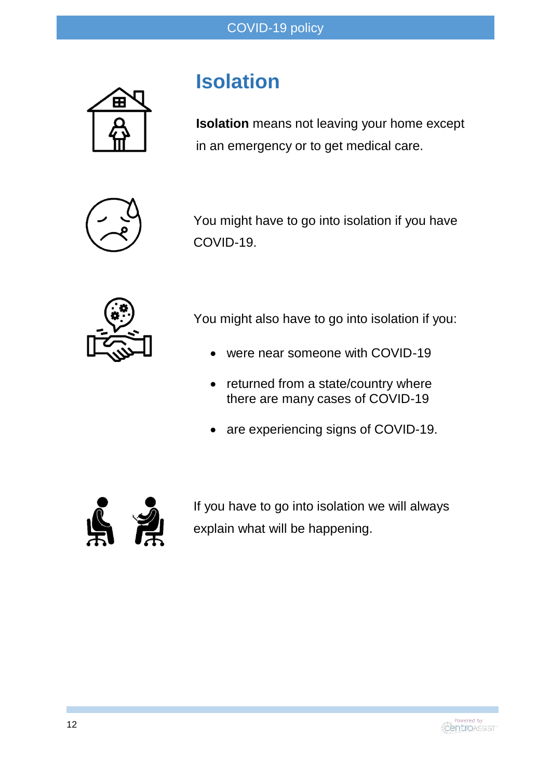

#### **Isolation**

**Isolation** means not leaving your home except in an emergency or to get medical care.



You might have to go into isolation if you have COVID-19.



You might also have to go into isolation if you:

- were near someone with COVID-19
- returned from a state/country where there are many cases of COVID-19
- are experiencing signs of COVID-19.



If you have to go into isolation we will always explain what will be happening.

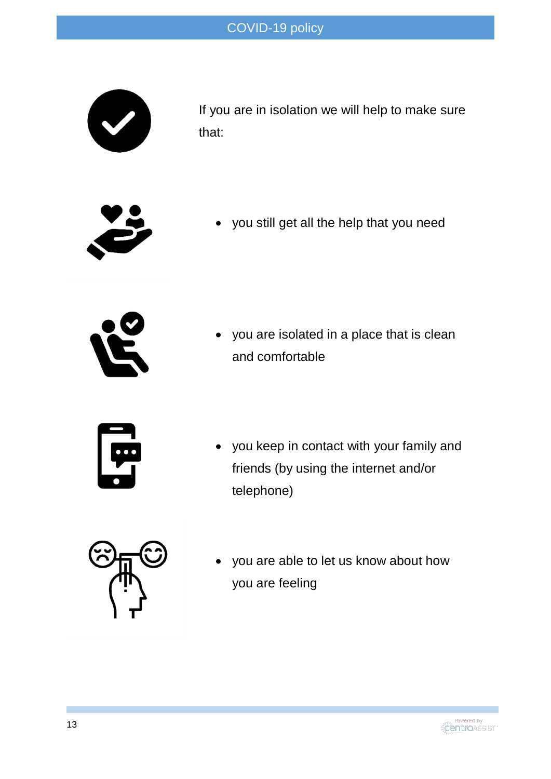

If you are in isolation we will help to make sure that:



you still get all the help that you need



 you are isolated in a place that is clean and comfortable



 you keep in contact with your family and friends (by using the internet and/or telephone)



 you are able to let us know about how you are feeling

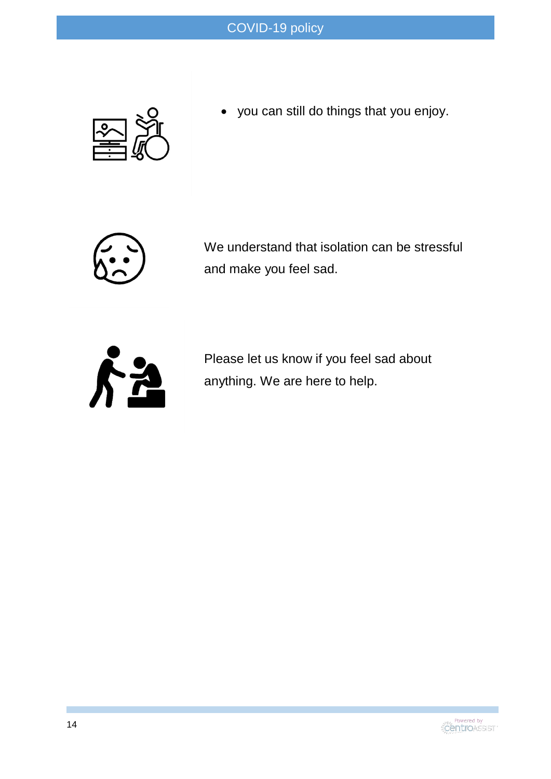

you can still do things that you enjoy.



We understand that isolation can be stressful and make you feel sad.



Please let us know if you feel sad about anything. We are here to help.